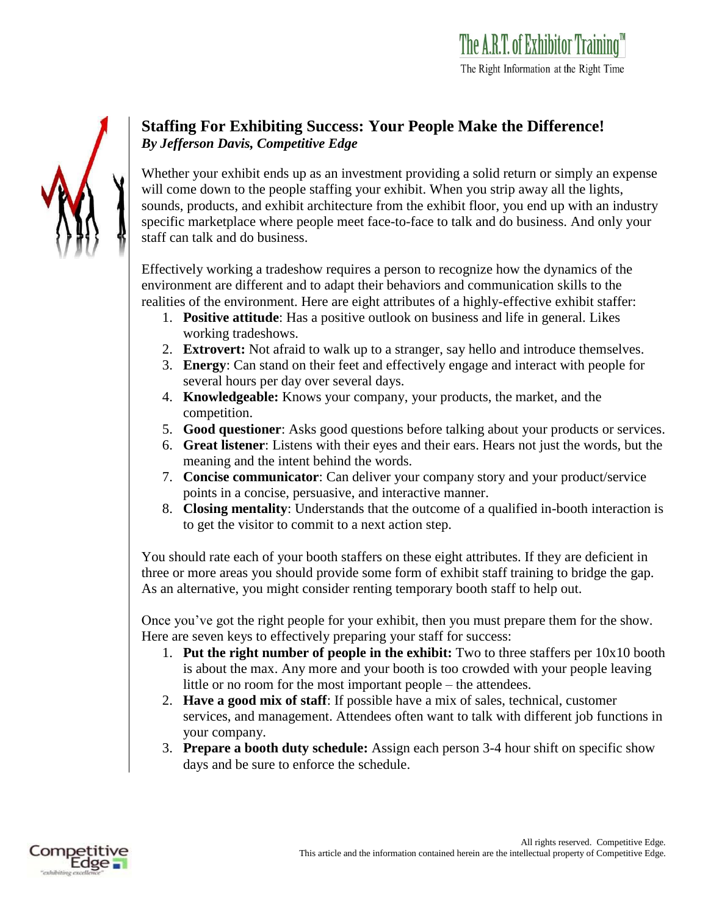## **Staffing For Exhibiting Success: Your People Make the Difference!**  *By Jefferson Davis, Competitive Edge*

Whether your exhibit ends up as an investment providing a solid return or simply an expense will come down to the people staffing your exhibit. When you strip away all the lights, sounds, products, and exhibit architecture from the exhibit floor, you end up with an industry specific marketplace where people meet face-to-face to talk and do business. And only your staff can talk and do business.

Effectively working a tradeshow requires a person to recognize how the dynamics of the environment are different and to adapt their behaviors and communication skills to the realities of the environment. Here are eight attributes of a highly-effective exhibit staffer:

- 1. **Positive attitude**: Has a positive outlook on business and life in general. Likes working tradeshows.
- 2. **Extrovert:** Not afraid to walk up to a stranger, say hello and introduce themselves.
- 3. **Energy**: Can stand on their feet and effectively engage and interact with people for several hours per day over several days.
- 4. **Knowledgeable:** Knows your company, your products, the market, and the competition.
- 5. **Good questioner**: Asks good questions before talking about your products or services.
- 6. **Great listener**: Listens with their eyes and their ears. Hears not just the words, but the meaning and the intent behind the words.
- 7. **Concise communicator**: Can deliver your company story and your product/service points in a concise, persuasive, and interactive manner.
- 8. **Closing mentality**: Understands that the outcome of a qualified in-booth interaction is to get the visitor to commit to a next action step.

You should rate each of your booth staffers on these eight attributes. If they are deficient in three or more areas you should provide some form of exhibit staff training to bridge the gap. As an alternative, you might consider renting temporary booth staff to help out.

Once you've got the right people for your exhibit, then you must prepare them for the show. Here are seven keys to effectively preparing your staff for success:

- 1. **Put the right number of people in the exhibit:** Two to three staffers per 10x10 booth is about the max. Any more and your booth is too crowded with your people leaving little or no room for the most important people – the attendees.
- 2. **Have a good mix of staff**: If possible have a mix of sales, technical, customer services, and management. Attendees often want to talk with different job functions in your company.
- 3. **Prepare a booth duty schedule:** Assign each person 3-4 hour shift on specific show days and be sure to enforce the schedule.